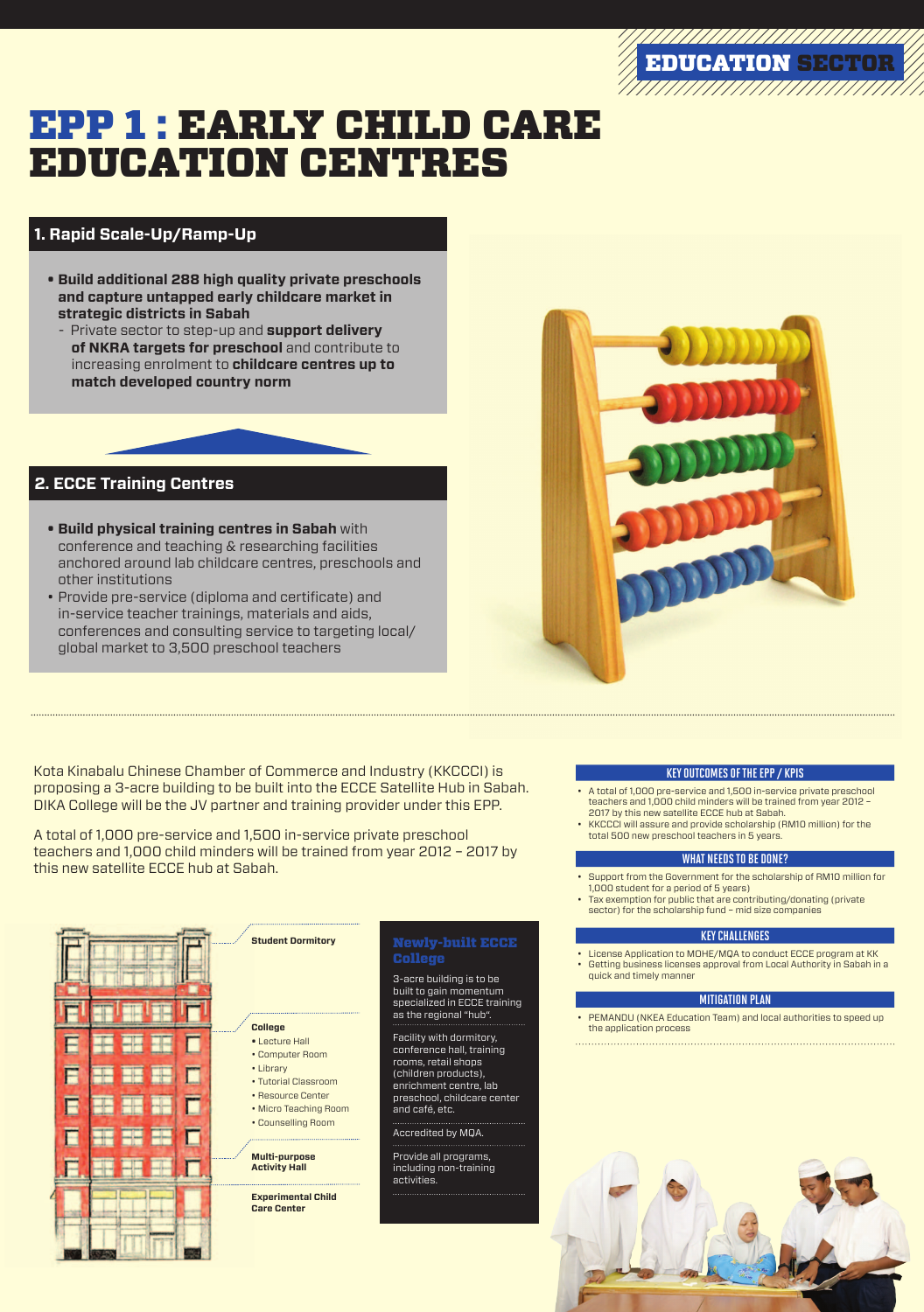# EPP 1 : EARLY CHILD CARE EDUCATION CENTRES



### **2. ECCE Training Centres**

- **• Build physical training centres in Sabah** with conference and teaching & researching facilities anchored around lab childcare centres, preschools and other institutions
- Provide pre-service (diploma and certificate) and in-service teacher trainings, materials and aids, conferences and consulting service to targeting local/ global market to 3,500 preschool teachers

### **1. Rapid Scale-Up/Ramp-Up**

- **• Build additional 288 high quality private preschools and capture untapped early childcare market in strategic districts in Sabah**
- Private sector to step-up and **support delivery of NKRA targets for preschool** and contribute to increasing enrolment to **childcare centres up to match developed country norm**







3-acre building is to be

built to gain momentum specialized in ECCE training as the regional "hub".

Facility with dormitory, conference hall, training rooms, retail shops (children products), enrichment centre, lab preschool, childcare center and café, etc.

Accredited by MQA.

Provide all programs, including non-training activities.

Newly-built ECCE

College

**Student Dormitory** 



- License Application to MOHE/MQA to conduct ECCE program at KK
- • Getting business licenses approval from Local Authority in Sabah in a quick and timely manner



• Counselling Room

• PEMANDU (NKEA Education Team) and local authorities to speed up the application process

**Multi-purpose Activity Hall**

**Experimental Child Care Center**



A total of 1,000 pre-service and 1,500 in-service private preschool teachers and 1,000 child minders will be trained from year 2012 – 2017 by this new satellite ECCE hub at Sabah.

#### Key outcomes of the EPP / KPIs

- • A total of 1,000 pre-service and 1,500 in-service private preschool teachers and 1,000 child minders will be trained from year 2012 – 2017 by this new satellite ECCE hub at Sabah.
- KKCCCI will assure and provide scholarship (RM10 million) for the total 500 new preschool teachers in 5 years.

#### What needs to be done?

- • Support from the Government for the scholarship of RM10 million for 1,000 student for a period of 5 years)
- Tax exemption for public that are contributing/donating (private sector) for the scholarship fund – mid size companies

#### Key Challenges

#### Mitigation Plan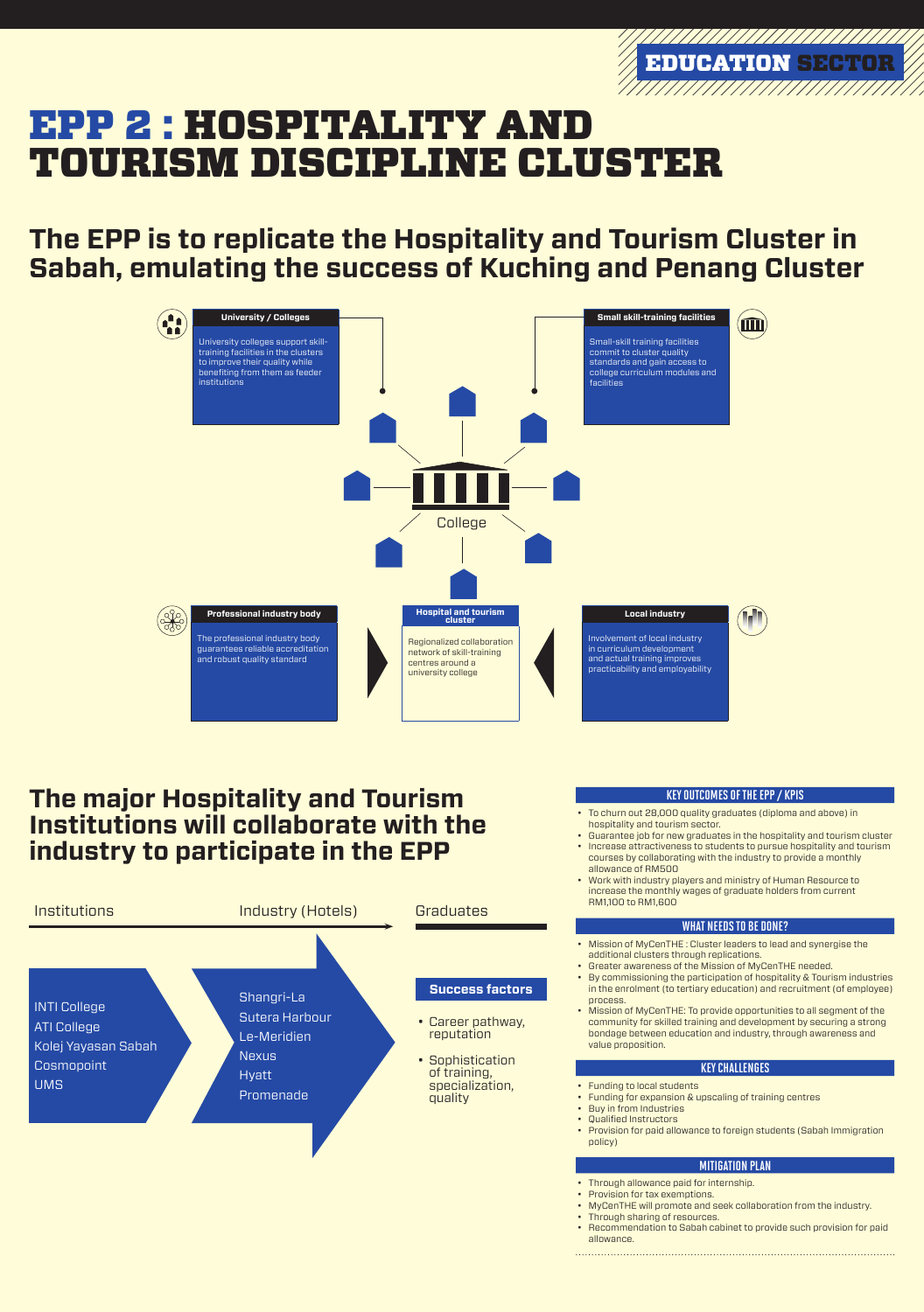## **The EPP is to replicate the Hospitality and Tourism Cluster in Sabah, emulating the success of Kuching and Penang Cluster**

- Career pathway, reputation
- Sophistication of training, specialization, quality

**Success factors** 

## **The major Hospitality and Tourism Institutions will collaborate with the industry to participate in the EPP**

Shangri-La Sutera Harbour



Le-Meridien

**Nexus** 

**Hyatt** 

Promenade

INTI College ATI College Kolej Yayasan Sabah Cosmopoint UMS

College



University colleges support skilltraining facilities in the clusters to improve their quality while benefiting from them as feeder institutions







Small-skill training facilities commit to cluster quality standards and gain access to college curriculum modules and facilities



and robust quality standard

**Local industry**



Involvement of local industry in curriculum development

and actual training improves practicability and employability

- Mission of MyCenTHE : Cluster leaders to lead and synergise the additional clusters through replications.
- • Greater awareness of the Mission of MyCenTHE needed.
- • By commissioning the participation of hospitality & Tourism industries in the enrolment (to tertiary education) and recruitment (of employee) process. • Mission of MyCenTHE: To provide opportunities to all segment of the community for skilled training and development by securing a strong bondage between education and industry, through awareness and value proposition.



Regionalized collaboration network of skill-training

centres around a university college

#### Key outcomes of the EPP / KPIs

- Through allowance paid for internship.
- • Provision for tax exemptions.
- MyCenTHE will promote and seek collaboration from the industry.
- Through sharing of resources.
- Recommendation to Sabah cabinet to provide such provision for paid allowance.

- • To churn out 28,000 quality graduates (diploma and above) in hospitality and tourism sector.
- • Guarantee job for new graduates in the hospitality and tourism cluster
- Increase attractiveness to students to pursue hospitality and tourism courses by collaborating with the industry to provide a monthly allowance of RM500
- • Work with industry players and ministry of Human Resource to increase the monthly wages of graduate holders from current RM1,100 to RM1,600

#### WHAT NEEDS TO BE DONE?

#### Key Challenges

- • Funding to local students
- Funding for expansion & upscaling of training centres
- Buy in from Industries
- • Qualified Instructors
- Provision for paid allowance to foreign students (Sabah Immigration policy)

#### Mitigation Plan



# EPP 2 FHOSPITALITY AND TOURISM DISCIPLINE CLUSTER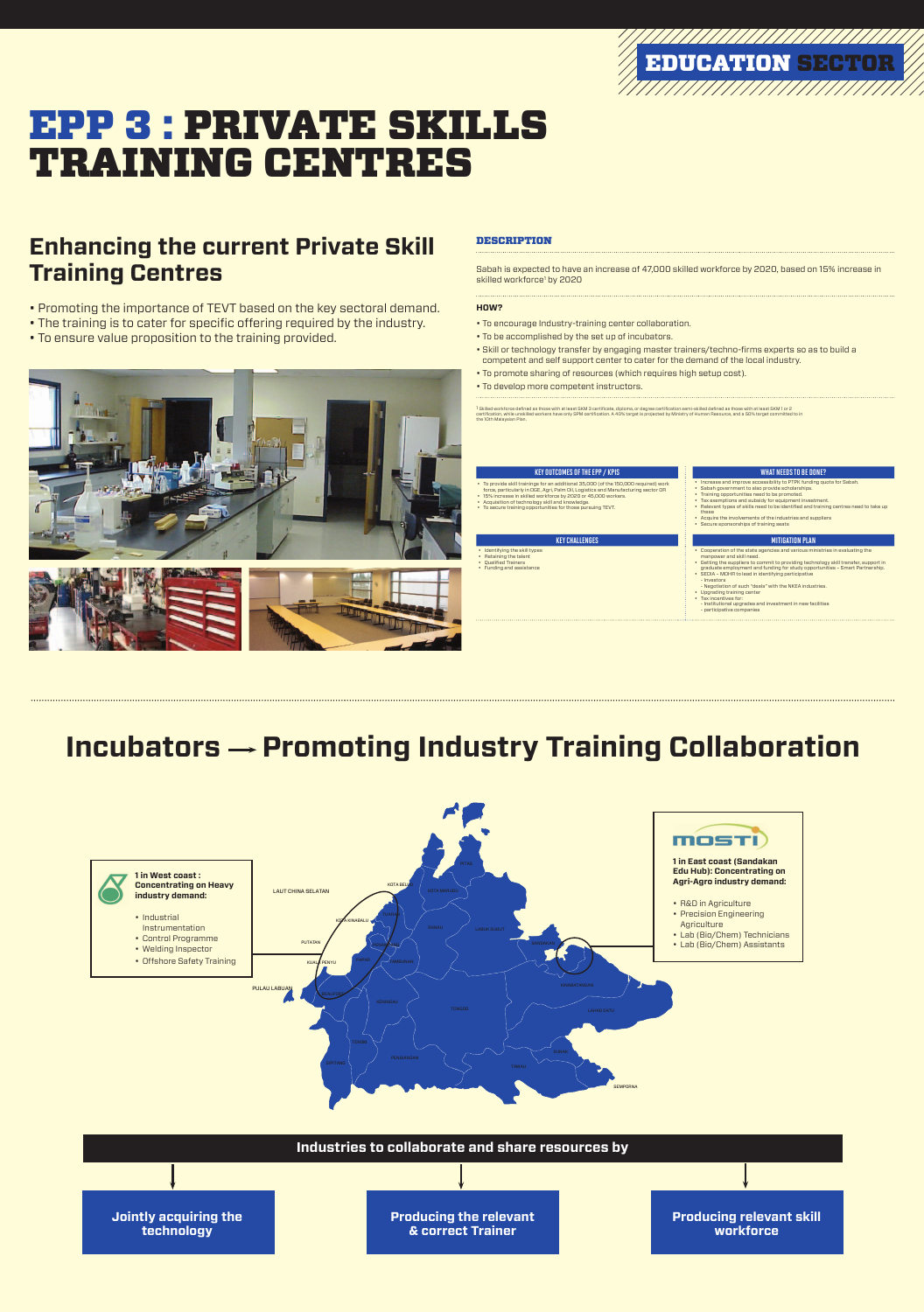# EPP 3 : PRIVATE SKILLS TRAINING CENTRES

• Promoting the importance of TEVT based on the key sectoral demand. • The training is to cater for specific offering required by the industry.

#### **DESCRIPTIO**

Sabah is expected to have an increase of 47,000 skilled workforce by 2020, based on 15% increase in skilled workforce<sup>1</sup> by 2020

### • To ensure value proposition to the training provided.







#### • To be accomplished by the set up of incubators.

### **Enhancing the current Private Skill Training Centres**

• Skill or technology transfer by engaging master trainers/techno-firms experts so as to build a competent and self support center to cater for the demand of the local industry.

- To promote sharing of resources (which requires high setup cost).
- • To develop more competent instructors.

#### **HOW?**

• To encourage Industry-training center collaboration.

<sup>1</sup> Skilled workforce defined as those with at least SKM 3 certificate, diploma, or degree certification semi-skilled defined as those with at least SKM 1 or 2 certification, while unskilled workers have only SPM certification. A 40% target is projected by Ministry of Human Resource, and a 50% target committed to in the 10th Malaysian Plan.

#### KEY OUTCOMES OF THE EPP / KPIS WHAT NEEDS TO BE DONE?

- • To provide skill trainings for an additional 35,000 (of the 150,000 required) work force, particularly in OGE, Agri, Palm Oil, Logistics and Manufacturing sector OR
- • 15% increase in skilled workforce by 2020 or 45,000 workers.
- Acquisition of technology skill and knowledge.





- Increase and improve accessibility to PTPK funding quota for Sabah.
- Sabah government to also provide scholarships.
- Training opportunities need to be promoted.
- Tax exemptions and subsidy for equipment investment.
- Relevant types of skills need to be identified and training centres need to take up these
- • Acquire the involvements of the industries and suppliers
- • Secure sponsorships of training seats

#### KEY CHALLENGES AND THE RESERVE OF THE RESERVE OF THE RESERVE OF THE RESERVE OF THE RESERVE OF THE RESERVE OF T

• Retaining the talent • Qualified Trainers



• To secure training opportunities for those pursuing TEVT.

• Identifying the skill types

• Funding and assistance

- • Cooperation of the state agencies and various ministries in evaluating the manpower and skill need.
- Getting the suppliers to commit to providing technology skill transfer, support in graduate employment and funding for study opportunities – Smart Partnership.
- • SEDIA MOHR to lead in identifying participative
- Investors
- Negotiation of such "deals" with the NKEA industries.
- • Upgrading training center • Tax incentives for:
- Institutional upgrades and investment in new facilities
- participative companies

## **Incubators**  $\rightarrow$  **Promoting Industry Training Collaboration**

# EDUCATION SECTOR